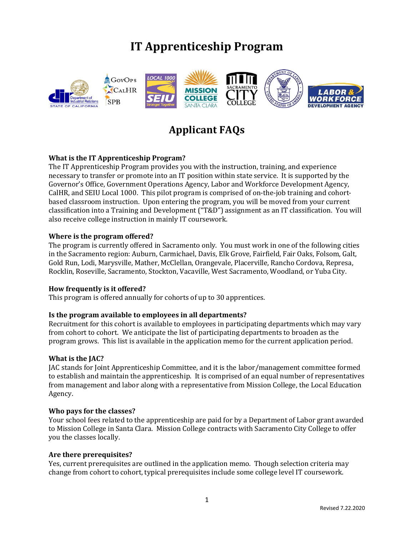# **IT Apprenticeship Program**



# **Applicant FAQs**

# **What is the IT Apprenticeship Program?**

The IT Apprenticeship Program provides you with the instruction, training, and experience necessary to transfer or promote into an IT position within state service. It is supported by the Governor's Office, Government Operations Agency, Labor and Workforce Development Agency, CalHR, and SEIU Local 1000. This pilot program is comprised of on-the-job training and cohortbased classroom instruction. Upon entering the program, you will be moved from your current classification into a Training and Development ("T&D") assignment as an IT classification. You will also receive college instruction in mainly IT coursework.

# **Where is the program offered?**

The program is currently offered in Sacramento only. You must work in one of the following cities in the Sacramento region: Auburn, Carmichael, Davis, Elk Grove, Fairfield, Fair Oaks, Folsom, Galt, Gold Run, Lodi, Marysville, Mather, McClellan, Orangevale, Placerville, Rancho Cordova, Represa, Rocklin, Roseville, Sacramento, Stockton, Vacaville, West Sacramento, Woodland, or Yuba City.

#### **How frequently is it offered?**

This program is offered annually for cohorts of up to 30 apprentices.

# **Is the program available to employees in all departments?**

Recruitment for this cohort is available to employees in participating departments which may vary from cohort to cohort. We anticipate the list of participating departments to broaden as the program grows. This list is available in the application memo for the current application period.

#### **What is the JAC?**

JAC stands for Joint Apprenticeship Committee, and it is the labor/management committee formed to establish and maintain the apprenticeship. It is comprised of an equal number of representatives from management and labor along with a representative from Mission College, the Local Education Agency.

#### **Who pays for the classes?**

Your school fees related to the apprenticeship are paid for by a Department of Labor grant awarded to Mission College in Santa Clara. Mission College contracts with Sacramento City College to offer you the classes locally.

#### **Are there prerequisites?**

Yes, current prerequisites are outlined in the application memo. Though selection criteria may change from cohort to cohort, typical prerequisites include some college level IT coursework.